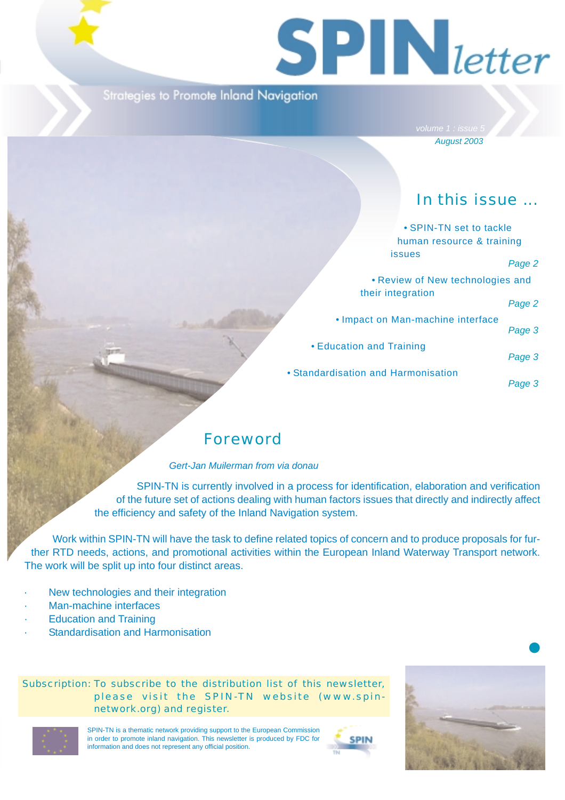# $S$  **PIN** letter

### Strategies to Promote Inland Navigation

*August 2003*

# In this issue ...

| • SPIN-TN set to tackle             |        |
|-------------------------------------|--------|
| human resource & training           |        |
| <i>issues</i>                       | Page 2 |
| • Review of New technologies and    |        |
| their integration                   | Page 2 |
| • Impact on Man-machine interface   | Page 3 |
| • Education and Training            | Page 3 |
| • Standardisation and Harmonisation | Page 3 |

## Foreword

#### *Gert-Jan Muilerman from via donau*

SPIN-TN is currently involved in a process for identification, elaboration and verification of the future set of actions dealing with human factors issues that directly and indirectly affect the efficiency and safety of the Inland Navigation system.

Work within SPIN-TN will have the task to define related topics of concern and to produce proposals for further RTD needs, actions, and promotional activities within the European Inland Waterway Transport network. The work will be split up into four distinct areas.

- New technologies and their integration
- Man-machine interfaces
- **Education and Training**
- Standardisation and Harmonisation

Subscription: To subscribe to the distribution list of this newsletter, please visit the SPIN-TN website (www.spinnetwork.org) and register.



SPIN-TN is a thematic network providing support to the European Commission in order to promote inland navigation. This newsletter is produced by FDC for information and does not represent any official position.





❶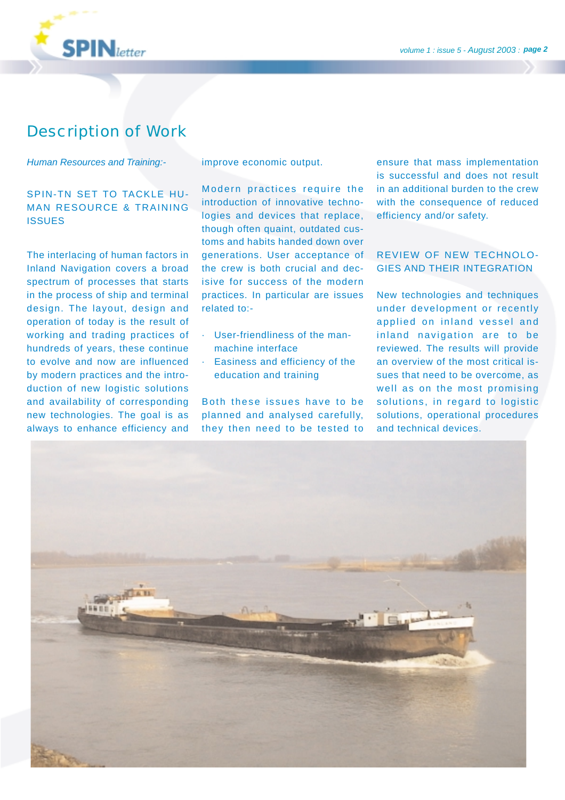

## Description of Work

#### *Human Resources and Training:-*

#### SPIN-TN SET TO TACKLE HU-MAN RESOURCE & TRAINING **ISSUES**

The interlacing of human factors in Inland Navigation covers a broad spectrum of processes that starts in the process of ship and terminal design. The layout, design and operation of today is the result of working and trading practices of hundreds of years, these continue to evolve and now are influenced by modern practices and the introduction of new logistic solutions and availability of corresponding new technologies. The goal is as always to enhance efficiency and

improve economic output.

Modern practices require the introduction of innovative technologies and devices that replace, though often quaint, outdated customs and habits handed down over generations. User acceptance of the crew is both crucial and decisive for success of the modern practices. In particular are issues related to:-

- · User-friendliness of the manmachine interface
- · Easiness and efficiency of the education and training

Both these issues have to be planned and analysed carefully, they then need to be tested to ensure that mass implementation is successful and does not result in an additional burden to the crew with the consequence of reduced efficiency and/or safety.

#### REVIEW OF NEW TECHNOLO-GIES AND THEIR INTEGRATION

New technologies and techniques under development or recently applied on inland vessel and inland navigation are to be reviewed. The results will provide an overview of the most critical issues that need to be overcome, as well as on the most promising solutions, in regard to logistic solutions, operational procedures and technical devices.

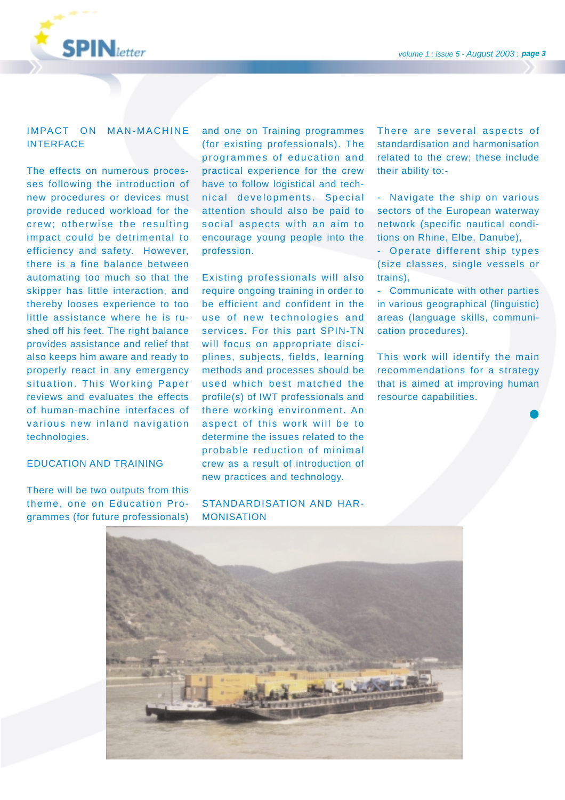

#### IMPACT ON MAN-MACHINE INTERFACE

The effects on numerous processes following the introduction of new procedures or devices must provide reduced workload for the crew; otherwise the resulting impact could be detrimental to efficiency and safety. However, there is a fine balance between automating too much so that the skipper has little interaction, and thereby looses experience to too little assistance where he is rushed off his feet. The right balance provides assistance and relief that also keeps him aware and ready to properly react in any emergency situation. This Working Paper reviews and evaluates the effects of human-machine interfaces of various new inland navigation technologies.

#### EDUCATION AND TRAINING

There will be two outputs from this theme, one on Education Programmes (for future professionals) and one on Training programmes (for existing professionals). The programmes of education and practical experience for the crew have to follow logistical and technical developments. Special attention should also be paid to social aspects with an aim to encourage young people into the profession.

Existing professionals will also require ongoing training in order to be efficient and confident in the use of new technologies and services. For this part SPIN-TN will focus on appropriate disciplines, subjects, fields, learning methods and processes should be used which best matched the profile(s) of IWT professionals and there working environment. An aspect of this work will be to determine the issues related to the probable reduction of minimal crew as a result of introduction of new practices and technology.

#### STANDARDISATION AND HAR-MONISATION

There are several aspects of standardisation and harmonisation related to the crew; these include their ability to:-

- Navigate the ship on various sectors of the European waterway network (specific nautical conditions on Rhine, Elbe, Danube),

- Operate different ship types (size classes, single vessels or trains),

- Communicate with other parties in various geographical (linguistic) areas (language skills, communication procedures).

This work will identify the main recommendations for a strategy that is aimed at improving human resource capabilities.

❶

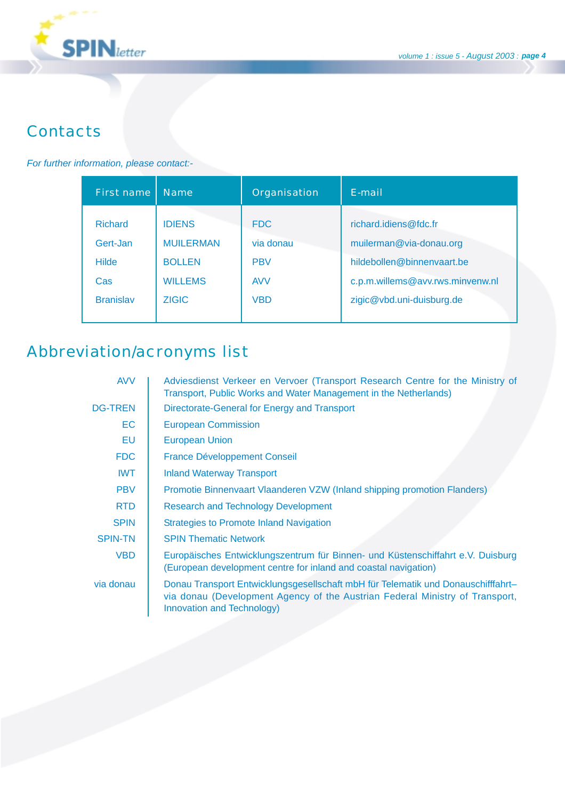

# **Contacts**

#### *For further information, please contact:-*

| First name       | <b>Name</b>      | Organisation | E-mail                           |
|------------------|------------------|--------------|----------------------------------|
| <b>Richard</b>   | <b>IDIENS</b>    | <b>FDC</b>   | richard.idiens@fdc.fr            |
| Gert-Jan         | <b>MUILERMAN</b> | via donau    | muilerman@via-donau.org          |
| <b>Hilde</b>     | <b>BOLLEN</b>    | <b>PBV</b>   | hildebollen@binnenvaart.be       |
| Cas              | <b>WILLEMS</b>   | <b>AVV</b>   | c.p.m.willems@avv.rws.minvenw.nl |
| <b>Branislav</b> | <b>ZIGIC</b>     | <b>VBD</b>   | zigic@vbd.uni-duisburg.de        |

# Abbreviation/acronyms list

| <b>AVV</b>     | Adviesdienst Verkeer en Vervoer (Transport Research Centre for the Ministry of<br>Transport, Public Works and Water Management in the Netherlands)                                             |
|----------------|------------------------------------------------------------------------------------------------------------------------------------------------------------------------------------------------|
| <b>DG-TREN</b> | Directorate-General for Energy and Transport                                                                                                                                                   |
| EC.            | <b>European Commission</b>                                                                                                                                                                     |
| EU             | <b>European Union</b>                                                                                                                                                                          |
| <b>FDC</b>     | <b>France Développement Conseil</b>                                                                                                                                                            |
| <b>IWT</b>     | <b>Inland Waterway Transport</b>                                                                                                                                                               |
| <b>PBV</b>     | Promotie Binnenvaart Vlaanderen VZW (Inland shipping promotion Flanders)                                                                                                                       |
| <b>RTD</b>     | <b>Research and Technology Development</b>                                                                                                                                                     |
| <b>SPIN</b>    | <b>Strategies to Promote Inland Navigation</b>                                                                                                                                                 |
| <b>SPIN-TN</b> | <b>SPIN Thematic Network</b>                                                                                                                                                                   |
| <b>VBD</b>     | Europäisches Entwicklungszentrum für Binnen- und Küstenschiffahrt e.V. Duisburg<br>(European development centre for inland and coastal navigation)                                             |
| via donau      | Donau Transport Entwicklungsgesellschaft mbH für Telematik und Donauschifffahrt-<br>via donau (Development Agency of the Austrian Federal Ministry of Transport,<br>Innovation and Technology) |